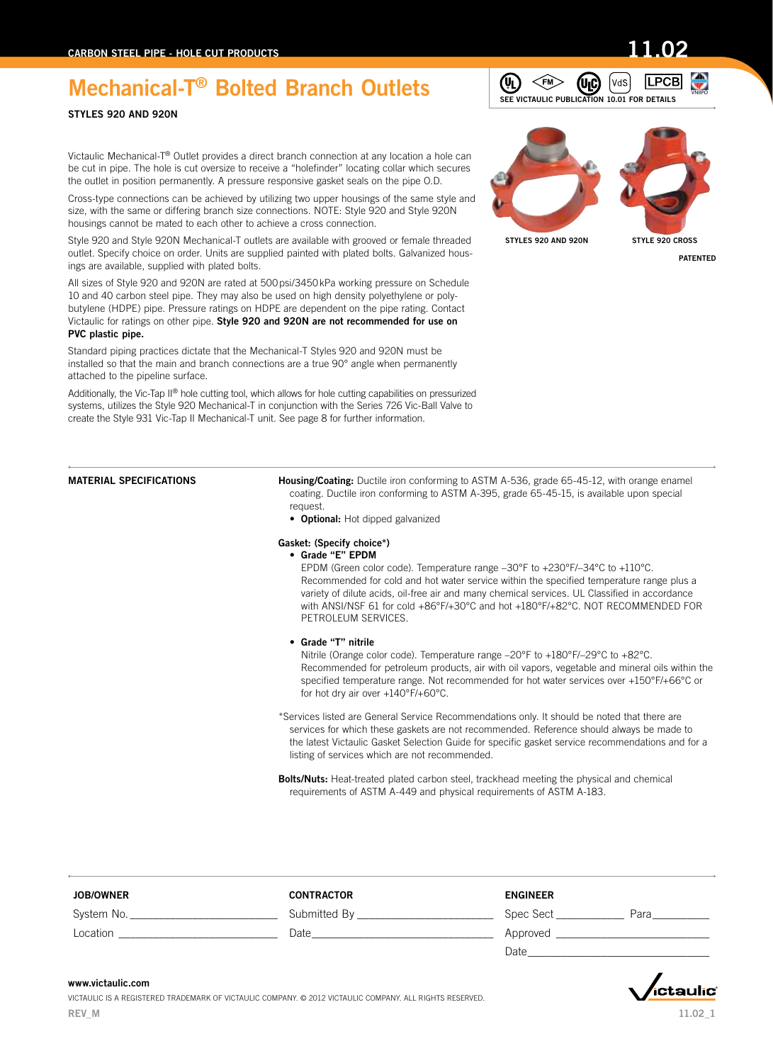# STYLES 920 AND 920N

Victaulic Mechanical-T® Outlet provides a direct branch connection at any location a hole can be cut in pipe. The hole is cut oversize to receive a "holefinder" locating collar which secures the outlet in position permanently. A pressure responsive gasket seals on the pipe O.D.

Cross-type connections can be achieved by utilizing two upper housings of the same style and size, with the same or differing branch size connections. NOTE: Style 920 and Style 920N housings cannot be mated to each other to achieve a cross connection.

Style 920 and Style 920N Mechanical-T outlets are available with grooved or female threaded outlet. Specify choice on order. Units are supplied painted with plated bolts. Galvanized housings are available, supplied with plated bolts.

All sizes of Style 920 and 920N are rated at 500psi/3450kPa working pressure on Schedule 10 and 40 carbon steel pipe. They may also be used on high density polyethylene or polybutylene (HDPE) pipe. Pressure ratings on HDPE are dependent on the pipe rating. Contact Victaulic for ratings on other pipe. Style 920 and 920N are not recommended for use on PVC plastic pipe.

Standard piping practices dictate that the Mechanical-T Styles 920 and 920N must be installed so that the main and branch connections are a true 90° angle when permanently attached to the pipeline surface.

Additionally, the Vic-Tap II® hole cutting tool, which allows for hole cutting capabilities on pressurized systems, utilizes the Style 920 Mechanical-T in conjunction with the Series 726 Vic-Ball Valve to create the Style 931 Vic-Tap II Mechanical-T unit. See page 8 for further information.

MATERIAL SPECIFICATIONS Housing/Coating: Ductile iron conforming to ASTM A-536, grade 65-45-12, with orange enamel coating. Ductile iron conforming to ASTM A-395, grade 65-45-15, is available upon special request.

• Optional: Hot dipped galvanized

### Gasket: (Specify choice\*)

• Grade "E" EPDM

EPDM (Green color code). Temperature range –30°F to +230°F/–34°C to +110°C. Recommended for cold and hot water service within the specified temperature range plus a variety of dilute acids, oil-free air and many chemical services. UL Classified in accordance with ANSI/NSF 61 for cold +86°F/+30°C and hot +180°F/+82°C. NOT RECOMMENDED FOR PETROLEUM SERVICES.

 • Grade "T" nitrile

Nitrile (Orange color code). Temperature range –20°F to +180°F/–29°C to +82°C. Recommended for petroleum products, air with oil vapors, vegetable and mineral oils within the specified temperature range. Not recommended for hot water services over +150°F/+66°C or for hot dry air over +140°F/+60°C.

\*Services listed are General Service Recommendations only. It should be noted that there are services for which these gaskets are not recommended. Reference should always be made to the latest Victaulic Gasket Selection Guide for specific gasket service recommendations and for a listing of services which are not recommended.

Bolts/Nuts: Heat-treated plated carbon steel, trackhead meeting the physical and chemical requirements of ASTM A-449 and physical requirements of ASTM A-183.

| <b>JOB/OWNER</b> | <b>CONTRACTOR</b> | <b>ENGINEER</b> |      |
|------------------|-------------------|-----------------|------|
| System No.       | Submitted By      | Spec Sect       | Para |
| Location         | Date              | Approved        |      |
|                  |                   | Date            |      |

### www.victaulic.com

VICTAULIC IS A REGISTERED TRADEMARK OF VICTAULIC COMPANY. © 2012 VICTAULIC COMPANY. ALL RIGHTS RESERVED. REV\_M

STYLES 920 AND 920N STYLE 920 CROSS

 $\leq$ FM $>$ 

(9)

PATENTED





**LPCB** 



Ívas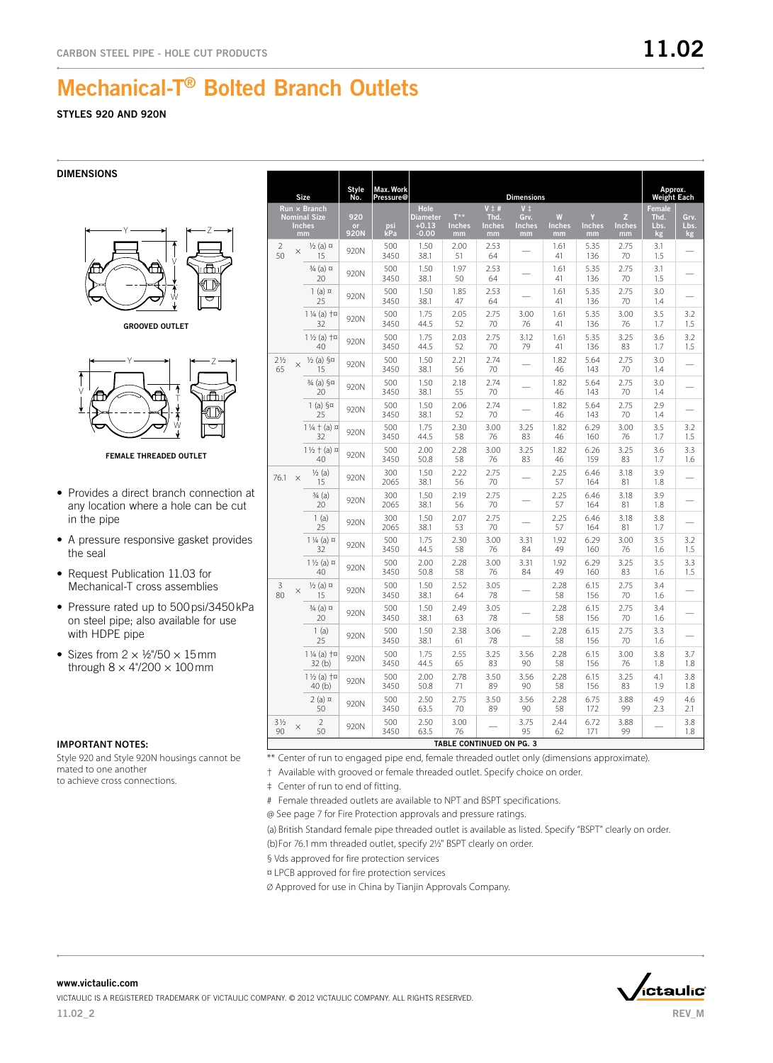## STYLES 920 AND 920N

DIMENSIONS



GROOVED OUTLET



FEMALE THREADED OUTLET

- Provides a direct branch connection at any location where a hole can be cut in the pipe
- A pressure responsive gasket provides the seal
- Request Publication 11.03 for Mechanical-T cross assemblies
- Pressure rated up to 500 psi/3450 kPa on steel pipe; also available for use with HDPE pipe
- Sizes from  $2 \times \frac{1}{2}$ 750  $\times$  15 mm through  $8 \times 4^{\circ}/200 \times 100$  mm

### **Important Notes:**

Style 920 and Style 920N housings cannot be mated to one another to achieve cross connections.

|                      |          | Size                                                       | <b>Style</b><br>No. | Max. Work<br><b>Pressure@</b> |                                               |                                         |                                               | <b>Dimensions</b>                            |                          |                          |                          | Approx.<br><b>Weight Each</b> |                    |
|----------------------|----------|------------------------------------------------------------|---------------------|-------------------------------|-----------------------------------------------|-----------------------------------------|-----------------------------------------------|----------------------------------------------|--------------------------|--------------------------|--------------------------|-------------------------------|--------------------|
|                      |          | Run × Branch<br><b>Nominal Size</b><br><b>Inches</b><br>mm | 920<br>or<br>920N   | psi<br>kPa                    | Hole<br><b>Diameter</b><br>$+0.13$<br>$-0.00$ | $T^{\star\star}$<br><b>Inches</b><br>mm | $V \ddagger #$<br>Thd.<br><b>Inches</b><br>mm | $V^{\dagger}$<br>Grv.<br><b>Inches</b><br>mm | W<br><b>Inches</b><br>mm | Y<br><b>Inches</b><br>mm | z<br><b>Inches</b><br>mm | Female<br>Thd.<br>Lbs.<br>kg  | Grv.<br>Lbs.<br>kg |
| $\overline{2}$<br>50 | $\times$ | $\frac{1}{2}$ (a) $\alpha$<br>15                           | 920N                | 500<br>3450                   | 1.50<br>38.1                                  | 2.00<br>51                              | 2.53<br>64                                    |                                              | 1.61<br>41               | 5.35<br>136              | 2.75<br>70               | 3.1<br>1.5                    |                    |
|                      |          | 3/ <sub>4</sub> (a) ¤<br>20                                | 920N                | 500<br>3450                   | 1.50<br>38.1                                  | 1.97<br>50                              | 2.53<br>64                                    |                                              | 1.61<br>41               | 5.35<br>136              | 2.75<br>70               | 3.1<br>1.5                    |                    |
|                      |          | $1$ (a) $\alpha$<br>25                                     | 920N                | 500<br>3450                   | 1.50<br>38.1                                  | 1.85<br>47                              | 2.53<br>64                                    |                                              | 1.61<br>41               | 5.35<br>136              | 2.75<br>70               | 3.0<br>1.4                    |                    |
|                      |          | $1\frac{1}{4}$ (a) $+\pi$<br>32                            | 920N                | 500<br>3450                   | 1.75<br>44.5                                  | 2.05<br>52                              | 2.75<br>70                                    | 3.00<br>76                                   | 1.61<br>41               | 5.35<br>136              | 3.00<br>76               | 3.5<br>1.7                    | 3.2<br>1.5         |
|                      |          | $1\frac{1}{2}$ (a) $+\pi$<br>40                            | 920N                | 500<br>3450                   | 1.75<br>44.5                                  | 2.03<br>52                              | 2.75<br>70                                    | 3.12<br>79                                   | 1.61<br>41               | 5.35<br>136              | 3.25<br>83               | 3.6<br>1.7                    | 3.2<br>1.5         |
| $2\frac{1}{2}$<br>65 | $\times$ | $\frac{1}{2}$ (a) $\frac{5}{2}$<br>15                      | 920N                | 500<br>3450                   | 1.50<br>38.1                                  | 2.21<br>56                              | 2.74<br>70                                    |                                              | 1.82<br>46               | 5.64<br>143              | 2.75<br>70               | 3.0<br>1.4                    |                    |
|                      |          | 3/ <sub>4</sub> (a) §¤<br>20                               | 920N                | 500<br>3450                   | 1.50<br>38.1                                  | 2.18<br>55                              | 2.74<br>70                                    |                                              | 1.82<br>46               | 5.64<br>143              | 2.75<br>70               | 3.0<br>1.4                    |                    |
|                      |          | $1(a)$ §¤<br>25                                            | 920N                | 500<br>3450                   | 1.50<br>38.1                                  | 2.06<br>52                              | 2.74<br>70                                    |                                              | 1.82<br>46               | 5.64<br>143              | 2.75<br>70               | 2.9<br>1.4                    |                    |
|                      |          | $1\frac{1}{4} + (a) \times$<br>32                          | 920N                | 500<br>3450                   | 1.75<br>44.5                                  | 2.30<br>58                              | 3.00<br>76                                    | 3.25<br>83                                   | 1.82<br>46               | 6.29<br>160              | 3.00<br>76               | 3.5<br>1.7                    | 3.2<br>1.5         |
|                      |          | $1\frac{1}{2} + (a) \times$<br>40                          | 920N                | 500<br>3450                   | 2.00<br>50.8                                  | 2.28<br>58                              | 3.00<br>76                                    | 3.25<br>83                                   | 1.82<br>46               | 6.26<br>159              | 3.25<br>83               | 3.6<br>1.7                    | 3.3<br>1.6         |
| 76.1                 | $\times$ | $\frac{1}{2}$ (a)<br>15                                    | 920N                | 300<br>2065                   | 1.50<br>38.1                                  | 2.22<br>56                              | 2.75<br>70                                    |                                              | 2.25<br>57               | 6.46<br>164              | 3.18<br>81               | 3.9<br>1.8                    |                    |
|                      |          | $\frac{3}{4}$ (a)<br>20                                    | 920N                | 300<br>2065                   | 1.50<br>38.1                                  | 2.19<br>56                              | 2.75<br>70                                    |                                              | 2.25<br>57               | 6.46<br>164              | 3.18<br>81               | 3.9<br>1.8                    |                    |
|                      |          | 1(a)<br>25                                                 | 920N                | 300<br>2065                   | 1.50<br>38.1                                  | 2.07<br>53                              | 2.75<br>70                                    |                                              | 2.25<br>57               | 6.46<br>164              | 3.18<br>81               | 3.8<br>1.7                    |                    |
|                      |          | $1\frac{1}{4}$ (a) $\alpha$<br>32                          | 920N                | 500<br>3450                   | 1.75<br>44.5                                  | 2.30<br>58                              | 3.00<br>76                                    | 3.31<br>84                                   | 1.92<br>49               | 6.29<br>160              | 3.00<br>76               | 3.5<br>1.6                    | 3.2<br>1.5         |
|                      |          | $1\frac{1}{2}$ (a) $\alpha$<br>40                          | 920N                | 500<br>3450                   | 2.00<br>50.8                                  | 2.28<br>58                              | 3.00<br>76                                    | 3.31<br>84                                   | 1.92<br>49               | 6.29<br>160              | 3.25<br>83               | 3.5<br>1.6                    | 3.3<br>1.5         |
| 3<br>80              | $\times$ | $\frac{1}{2}$ (a) $\alpha$<br>15                           | 920N                | 500<br>3450                   | 1.50<br>38.1                                  | 2.52<br>64                              | 3.05<br>78                                    |                                              | 2.28<br>58               | 6.15<br>156              | 2.75<br>70               | 3.4<br>1.6                    |                    |
|                      |          | 3⁄4 (a) ¤<br>20                                            | 920N                | 500<br>3450                   | 1.50<br>38.1                                  | 2.49<br>63                              | 3.05<br>78                                    |                                              | 2.28<br>58               | 6.15<br>156              | 2.75<br>70               | 3.4<br>1.6                    |                    |
|                      |          | 1(a)<br>25                                                 | 920N                | 500<br>3450                   | 1.50<br>38.1                                  | 2.38<br>61                              | 3.06<br>78                                    |                                              | 2.28<br>58               | 6.15<br>156              | 2.75<br>70               | 3.3<br>1.6                    |                    |
|                      |          | $1\frac{1}{4}$ (a) $+\pi$<br>32(b)                         | 920N                | 500<br>3450                   | 1.75<br>44.5                                  | 2.55<br>65                              | 3.25<br>83                                    | 3.56<br>90                                   | 2.28<br>58               | 6.15<br>156              | 3.00<br>76               | 3.8<br>1.8                    | 3.7<br>1.8         |
|                      |          | $1\frac{1}{2}$ (a) $+\pi$<br>40(b)                         | 920N                | 500<br>3450                   | 2.00<br>50.8                                  | 2.78<br>71                              | 3.50<br>89                                    | 3.56<br>90                                   | 2.28<br>58               | 6.15<br>156              | 3.25<br>83               | 4.1<br>1.9                    | 3.8<br>1.8         |
|                      |          | $2(a)$ $\alpha$<br>50                                      | 920N                | 500<br>3450                   | 2.50<br>63.5                                  | 2.75<br>70                              | 3.50<br>89                                    | 3.56<br>90                                   | 2.28<br>58               | 6.75<br>172              | 3.88<br>99               | 4.9<br>2.3                    | 4.6<br>2.1         |
| $3\frac{1}{2}$<br>90 | $\times$ | $\overline{2}$<br>50                                       | 920N                | 500<br>3450                   | 2.50<br>63.5                                  | 3.00<br>76                              |                                               | 3.75<br>95                                   | 2.44<br>62               | 6.72<br>171              | 3.88<br>99               |                               | 3.8<br>1.8         |
|                      |          |                                                            |                     |                               |                                               |                                         | TABLE CONTINUED ON PG. 3                      |                                              |                          |                          |                          |                               |                    |

\*\* Center of run to engaged pipe end, female threaded outlet only (dimensions approximate).

† Available with grooved or female threaded outlet. Specify choice on order.

‡ Center of run to end of fitting.

# Female threaded outlets are available to NPT and BSPT specifications.

@ See page 7 for Fire Protection approvals and pressure ratings.

(a) British Standard female pipe threaded outlet is available as listed. Specify "BSPT" clearly on order. (b)For 76.1mm threaded outlet, specify 2½" BSPT clearly on order.

§ Vds approved for fire protection services

¤ LPCB approved for fire protection services

Ø Approved for use in China by Tianjin Approvals Company.

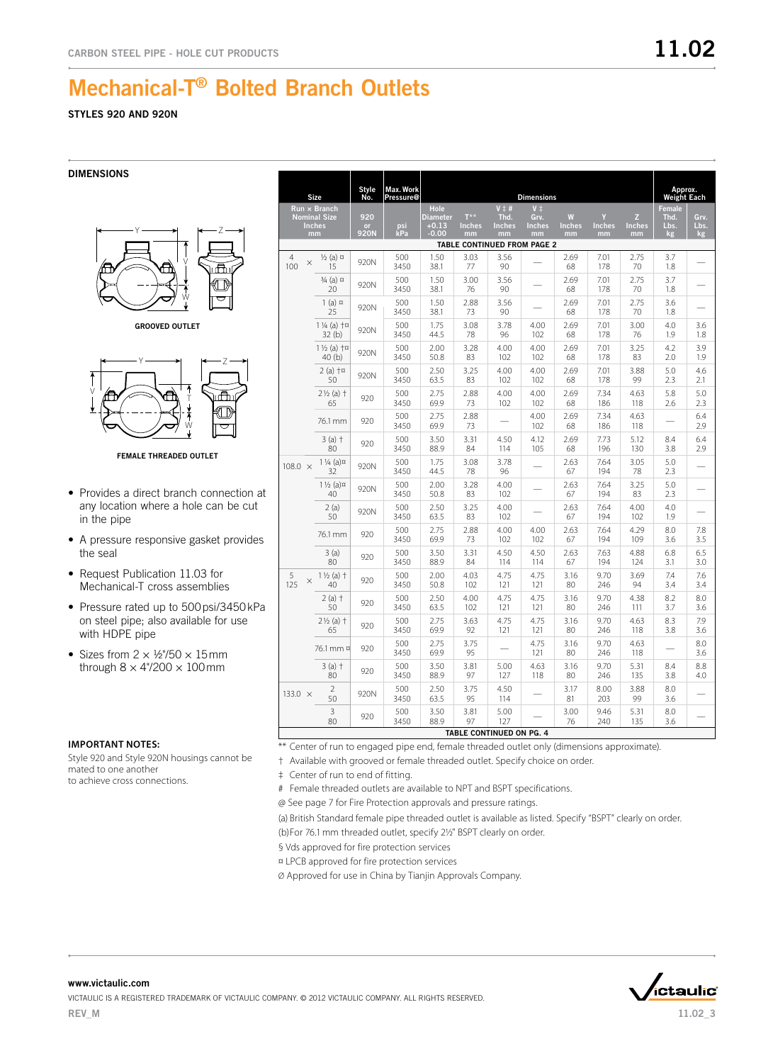## STYLES 920 AND 920N

DIMENSIONS



GROOVED OUTLET



FEMALE THREADED OUTLET

- Provides a direct branch connection at any location where a hole can be cut in the pipe
- A pressure responsive gasket provides the seal
- Request Publication 11.03 for Mechanical-T cross assemblies
- Pressure rated up to 500 psi/3450 kPa on steel pipe; also available for use with HDPE pipe
- Sizes from  $2 \times \frac{1}{2}$ 750  $\times$  15 mm through  $8 \times 4$ "/200  $\times$  100 mm

### **Important Notes:**

Style 920 and Style 920N housings cannot be mated to one another to achieve cross connections.

|                                                                                                                                                                                                                                                                                                                                                                                                               |                                    | <b>Style</b><br>No. | Max. Work   |              |             |                          |                              |                           |             |             | Approx.<br><b>Weight Each</b> |            |
|---------------------------------------------------------------------------------------------------------------------------------------------------------------------------------------------------------------------------------------------------------------------------------------------------------------------------------------------------------------------------------------------------------------|------------------------------------|---------------------|-------------|--------------|-------------|--------------------------|------------------------------|---------------------------|-------------|-------------|-------------------------------|------------|
| Size<br><b>Dimensions</b><br>Pressure@<br>$V \pm #$<br>$V$ $\pm$<br>$Run \times Branch$<br>Hole<br><b>Nominal Size</b><br>920<br><b>Diameter</b><br>$T^{\star\star}$<br>Thd.<br>Grv.<br>W<br>$+0.13$<br><b>Inches</b><br><b>Inches</b><br><b>Inches</b><br>Inches<br>psi<br><b>Inches</b><br><b>Inches</b><br>or<br>kPa<br>920N<br>$-0.00$<br>mm<br>mm<br>mm<br>mm<br>mm<br>mm<br>TABLE CONTINUED FROM PAGE 2 |                                    |                     |             |              |             | z<br><b>Inches</b><br>mm | Female<br>Thd.<br>Lbs.<br>kg | Grv.<br>Lbs.<br><b>kg</b> |             |             |                               |            |
| 4<br>$\times$<br>100                                                                                                                                                                                                                                                                                                                                                                                          | $\frac{1}{2}$ (a) $\alpha$<br>15   | 920N                | 500<br>3450 | 1.50<br>38.1 | 3.03<br>77  | 3.56<br>90               |                              | 2.69<br>68                | 7.01<br>178 | 2.75<br>70  | 3.7<br>1.8                    |            |
|                                                                                                                                                                                                                                                                                                                                                                                                               | $\frac{3}{4}$ (a) $\pi$<br>20      | 920N                | 500<br>3450 | 1.50<br>38.1 | 3.00<br>76  | 3.56<br>90               |                              | 2.69<br>68                | 7.01<br>178 | 2.75<br>70  | 3.7<br>1.8                    |            |
|                                                                                                                                                                                                                                                                                                                                                                                                               | $1$ (a) $\alpha$<br>25             | 920N                | 500<br>3450 | 1.50<br>38.1 | 2.88<br>73  | 3.56<br>90               |                              | 2.69<br>68                | 7.01<br>178 | 2.75<br>70  | 3.6<br>1.8                    |            |
|                                                                                                                                                                                                                                                                                                                                                                                                               | $1\frac{1}{4}$ (a) $+\pi$<br>32(b) | 920N                | 500<br>3450 | 1.75<br>44.5 | 3.08<br>78  | 3.78<br>96               | 4.00<br>102                  | 2.69<br>68                | 7.01<br>178 | 3.00<br>76  | 4.0<br>1.9                    | 3.6<br>1.8 |
|                                                                                                                                                                                                                                                                                                                                                                                                               | $1\frac{1}{2}$ (a) $+\pi$<br>40(b) | 920N                | 500<br>3450 | 2.00<br>50.8 | 3.28<br>83  | 4.00<br>102              | 4.00<br>102                  | 2.69<br>68                | 7.01<br>178 | 3.25<br>83  | 4.2<br>2.0                    | 3.9<br>1.9 |
|                                                                                                                                                                                                                                                                                                                                                                                                               | $2(a)$ $+a$<br>50                  | 920N                | 500<br>3450 | 2.50<br>63.5 | 3.25<br>83  | 4.00<br>102              | 4.00<br>102                  | 2.69<br>68                | 7.01<br>178 | 3.88<br>99  | 5.0<br>2.3                    | 4.6<br>2.1 |
|                                                                                                                                                                                                                                                                                                                                                                                                               | $2\frac{1}{2}$ (a) $\dagger$<br>65 | 920                 | 500<br>3450 | 2.75<br>69.9 | 2.88<br>73  | 4.00<br>102              | 4.00<br>102                  | 2.69<br>68                | 7.34<br>186 | 4.63<br>118 | 5.8<br>2.6                    | 5.0<br>2.3 |
|                                                                                                                                                                                                                                                                                                                                                                                                               | 76.1 mm                            | 920                 | 500<br>3450 | 2.75<br>69.9 | 2.88<br>73  |                          | 4.00<br>102                  | 2.69<br>68                | 7.34<br>186 | 4.63<br>118 |                               | 6.4<br>2.9 |
|                                                                                                                                                                                                                                                                                                                                                                                                               | $3(a)$ †<br>80                     | 920                 | 500<br>3450 | 3.50<br>88.9 | 3.31<br>84  | 4.50<br>114              | 4.12<br>105                  | 2.69<br>68                | 7.73<br>196 | 5.12<br>130 | 8.4<br>3.8                    | 6.4<br>2.9 |
| $108.0 \times$                                                                                                                                                                                                                                                                                                                                                                                                | $1\frac{1}{4}$ (a) $\alpha$<br>32  | 920N                | 500<br>3450 | 1.75<br>44.5 | 3.08<br>78  | 3.78<br>96               |                              | 2.63<br>67                | 7.64<br>194 | 3.05<br>78  | 5.0<br>2.3                    |            |
|                                                                                                                                                                                                                                                                                                                                                                                                               | $1\frac{1}{2}$ (a) $\alpha$<br>40  | 920N                | 500<br>3450 | 2.00<br>50.8 | 3.28<br>83  | 4.00<br>102              |                              | 2.63<br>67                | 7.64<br>194 | 3.25<br>83  | 5.0<br>2.3                    |            |
|                                                                                                                                                                                                                                                                                                                                                                                                               | 2(a)<br>50                         | 920N                | 500<br>3450 | 2.50<br>63.5 | 3.25<br>83  | 4.00<br>102              |                              | 2.63<br>67                | 7.64<br>194 | 4.00<br>102 | 4.0<br>1.9                    |            |
|                                                                                                                                                                                                                                                                                                                                                                                                               | 76.1 mm                            | 920                 | 500<br>3450 | 2.75<br>69.9 | 2.88<br>73  | 4.00<br>102              | 4.00<br>102                  | 2.63<br>67                | 7.64<br>194 | 4.29<br>109 | 8.0<br>3.6                    | 7.8<br>3.5 |
|                                                                                                                                                                                                                                                                                                                                                                                                               | 3(a)<br>80                         | 920                 | 500<br>3450 | 3.50<br>88.9 | 3.31<br>84  | 4.50<br>114              | 4.50<br>114                  | 2.63<br>67                | 7.63<br>194 | 4.88<br>124 | 6.8<br>3.1                    | 6.5<br>3.0 |
| 5<br>$\times$<br>125                                                                                                                                                                                                                                                                                                                                                                                          | $1\frac{1}{2}$ (a) $\dagger$<br>40 | 920                 | 500<br>3450 | 2.00<br>50.8 | 4.03<br>102 | 4.75<br>121              | 4.75<br>121                  | 3.16<br>80                | 9.70<br>246 | 3.69<br>94  | 7.4<br>3.4                    | 7.6<br>3.4 |
|                                                                                                                                                                                                                                                                                                                                                                                                               | $2(a)$ †<br>50                     | 920                 | 500<br>3450 | 2.50<br>63.5 | 4.00<br>102 | 4.75<br>121              | 4.75<br>121                  | 3.16<br>80                | 9.70<br>246 | 4.38<br>111 | 8.2<br>3.7                    | 8.0<br>3.6 |
|                                                                                                                                                                                                                                                                                                                                                                                                               | $2\frac{1}{2}$ (a) $\dagger$<br>65 | 920                 | 500<br>3450 | 2.75<br>69.9 | 3.63<br>92  | 4.75<br>121              | 4.75<br>121                  | 3.16<br>80                | 9.70<br>246 | 4.63<br>118 | 8.3<br>3.8                    | 7.9<br>3.6 |
|                                                                                                                                                                                                                                                                                                                                                                                                               | 76.1 mm ¤                          | 920                 | 500<br>3450 | 2.75<br>69.9 | 3.75<br>95  |                          | 4.75<br>121                  | 3.16<br>80                | 9.70<br>246 | 4.63<br>118 |                               | 8.0<br>3.6 |
|                                                                                                                                                                                                                                                                                                                                                                                                               | $3(a)$ †<br>80                     | 920                 | 500<br>3450 | 3.50<br>88.9 | 3.81<br>97  | 5.00<br>127              | 4.63<br>118                  | 3.16<br>80                | 9.70<br>246 | 5.31<br>135 | 8.4<br>3.8                    | 8.8<br>4.0 |
| 133.0 $\times$                                                                                                                                                                                                                                                                                                                                                                                                | $\overline{2}$<br>50               | 920N                | 500<br>3450 | 2.50<br>63.5 | 3.75<br>95  | 4.50<br>114              |                              | 3.17<br>81                | 8.00<br>203 | 3.88<br>99  | 8.0<br>3.6                    |            |
|                                                                                                                                                                                                                                                                                                                                                                                                               | $\overline{3}$<br>80               | 920                 | 500<br>3450 | 3.50<br>88.9 | 3.81<br>97  | 5.00<br>127              |                              | 3.00<br>76                | 9.46<br>240 | 5.31<br>135 | 8.0<br>3.6                    |            |
|                                                                                                                                                                                                                                                                                                                                                                                                               | <b>TABLE CONTINUED ON PG. 4</b>    |                     |             |              |             |                          |                              |                           |             |             |                               |            |

\*\* Center of run to engaged pipe end, female threaded outlet only (dimensions approximate).

† Available with grooved or female threaded outlet. Specify choice on order.

‡ Center of run to end of fitting.

# Female threaded outlets are available to NPT and BSPT specifications.

@ See page 7 for Fire Protection approvals and pressure ratings.

(a) British Standard female pipe threaded outlet is available as listed. Specify "BSPT" clearly on order. (b)For 76.1mm threaded outlet, specify 2½" BSPT clearly on order.

§ Vds approved for fire protection services

¤ LPCB approved for fire protection services

Ø Approved for use in China by Tianjin Approvals Company.

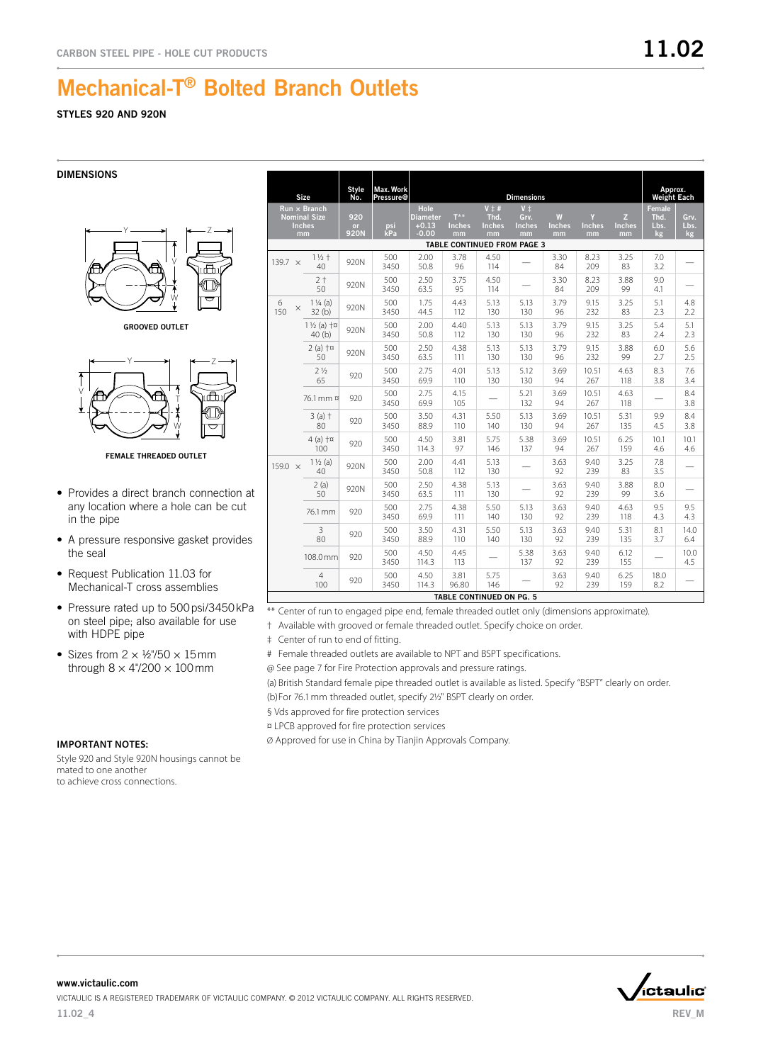## STYLES 920 AND 920N

### DIMENSIONS

![](_page_3_Figure_4.jpeg)

GROOVED OUTLET

![](_page_3_Figure_6.jpeg)

FEMALE THREADED OUTLET

- Provides a direct branch connection at any location where a hole can be cut in the pipe
- A pressure responsive gasket provides the seal
- Request Publication 11.03 for Mechanical-T cross assemblies
- Pressure rated up to 500 psi/3450 kPa on steel pipe; also available for use with HDPE pipe
- Sizes from  $2 \times \frac{1}{2}$ 750  $\times$  15 mm through  $8 \times 4^{\circ}/200 \times 100$  mm

|                                                                   | Size                                  | No.                      | Pressure@   |                                                      |                                         |                                               | <b>Dimensions</b>                             |                          |                          |                          | <b>Weight Each</b>                  |                    |
|-------------------------------------------------------------------|---------------------------------------|--------------------------|-------------|------------------------------------------------------|-----------------------------------------|-----------------------------------------------|-----------------------------------------------|--------------------------|--------------------------|--------------------------|-------------------------------------|--------------------|
| $Run \times Branch$<br><b>Nominal Size</b><br><b>Inches</b><br>mm |                                       | 920<br><b>or</b><br>920N | psi<br>kPa  | <b>Hole</b><br><b>Diameter</b><br>$+0.13$<br>$-0.00$ | $T^{\star\star}$<br><b>Inches</b><br>mm | $V \ddagger #$<br>Thd.<br><b>Inches</b><br>mm | $V$ $\ddagger$<br>Grv.<br><b>Inches</b><br>mm | W<br><b>Inches</b><br>mm | Y<br><b>Inches</b><br>mm | Z<br><b>Inches</b><br>mm | <b>Female</b><br>Thd.<br>Lbs.<br>kg | Grv.<br>Lbs.<br>kg |
|                                                                   |                                       |                          |             |                                                      |                                         |                                               | TABLE CONTINUED FROM PAGE 3                   |                          |                          |                          |                                     |                    |
| 139.7 $\times$                                                    | $11/2 +$<br>40                        | 920N                     | 500<br>3450 | 2.00<br>50.8                                         | 3.78<br>96                              | 4.50<br>114                                   |                                               | 3.30<br>84               | 8.23<br>209              | 3.25<br>83               | 7.0<br>3.2                          |                    |
|                                                                   | $2+$<br>50                            | 920N                     | 500<br>3450 | 2.50<br>63.5                                         | 3.75<br>95                              | 4.50<br>114                                   |                                               | 3.30<br>84               | 8.23<br>209              | 3.88<br>99               | 9.0<br>4.1                          |                    |
| 6<br>$\times$<br>150                                              | $1\frac{1}{4}$ (a)<br>32(b)           | 920N                     | 500<br>3450 | 1.75<br>44.5                                         | 4.43<br>112                             | 5.13<br>130                                   | 5.13<br>130                                   | 3.79<br>96               | 9.15<br>232              | 3.25<br>83               | 5.1<br>2.3                          | 4.8<br>2.2         |
|                                                                   | $1\frac{1}{2}$ (a) $+\infty$<br>40(b) | 920N                     | 500<br>3450 | 2.00<br>50.8                                         | 4.40<br>112                             | 5.13<br>130                                   | 5.13<br>130                                   | 3.79<br>96               | 9.15<br>232              | 3.25<br>83               | 5.4<br>2.4                          | 5.1<br>2.3         |
|                                                                   | $2(a)$ $+a$<br>50                     | 920N                     | 500<br>3450 | 2.50<br>63.5                                         | 4.38<br>111                             | 5.13<br>130                                   | 5.13<br>130                                   | 3.79<br>96               | 9.15<br>232              | 3.88<br>99               | 6.0<br>2.7                          | 5.6<br>2.5         |
|                                                                   | 2 <sub>2</sub><br>65                  | 920                      | 500<br>3450 | 2.75<br>69.9                                         | 4.01<br>110                             | 5.13<br>130                                   | 5.12<br>130                                   | 3.69<br>94               | 10.51<br>267             | 4.63<br>118              | 8.3<br>3.8                          | 7.6<br>3.4         |
|                                                                   | 76.1 mm ¤                             | 920                      | 500<br>3450 | 2.75<br>69.9                                         | 4.15<br>105                             |                                               | 5.21<br>132                                   | 3.69<br>94               | 10.51<br>267             | 4.63<br>118              |                                     | 8.4<br>3.8         |
|                                                                   | $3(a)$ †<br>80                        | 920                      | 500<br>3450 | 3.50<br>88.9                                         | 4.31<br>110                             | 5.50<br>140                                   | 5.13<br>130                                   | 3.69<br>94               | 10.51<br>267             | 5.31<br>135              | 9.9<br>4.5                          | 8.4<br>3.8         |
|                                                                   | $4$ (a) $+\pi$<br>100                 | 920                      | 500<br>3450 | 4.50<br>114.3                                        | 3.81<br>97                              | 5.75<br>146                                   | 5.38<br>137                                   | 3.69<br>94               | 10.51<br>267             | 6.25<br>159              | 10.1<br>4.6                         | 10.1<br>4.6        |
| 159.0 $\times$                                                    | $1\frac{1}{2}$ (a)<br>40              | 920N                     | 500<br>3450 | 2.00<br>50.8                                         | 4.41<br>112                             | 5.13<br>130                                   |                                               | 3.63<br>92               | 9.40<br>239              | 3.25<br>83               | 7.8<br>3.5                          |                    |
|                                                                   | 2(a)<br>50                            | 920N                     | 500<br>3450 | 2.50<br>63.5                                         | 4.38<br>111                             | 5.13<br>130                                   |                                               | 3.63<br>92               | 9.40<br>239              | 3.88<br>99               | 8.0<br>3.6                          |                    |
|                                                                   | 76.1 mm                               | 920                      | 500<br>3450 | 2.75<br>69.9                                         | 4.38<br>111                             | 5.50<br>140                                   | 5.13<br>130                                   | 3.63<br>92               | 9.40<br>239              | 4.63<br>118              | 9.5<br>4.3                          | 9.5<br>4.3         |
|                                                                   | $\mathsf 3$<br>80                     | 920                      | 500<br>3450 | 3.50<br>88.9                                         | 4.31<br>110                             | 5.50<br>140                                   | 5.13<br>130                                   | 3.63<br>92               | 9.40<br>239              | 5.31<br>135              | 8.1<br>3.7                          | 14.0<br>6.4        |
|                                                                   | 108.0 mm                              | 920                      | 500<br>3450 | 4.50<br>114.3                                        | 4.45<br>113                             |                                               | 5.38<br>137                                   | 3.63<br>92               | 9.40<br>239              | 6.12<br>155              |                                     | 10.0<br>4.5        |
|                                                                   | $\overline{4}$<br>100                 | 920                      | 500<br>3450 | 4.50<br>114.3                                        | 3.81<br>96.80                           | 5.75<br>146                                   |                                               | 3.63<br>92               | 9.40<br>239              | 6.25<br>159              | 18.0<br>8.2                         |                    |
|                                                                   |                                       |                          |             |                                                      | TABLE CONTINUED ON PG. 5                |                                               |                                               |                          |                          |                          |                                     |                    |

\*\* Center of run to engaged pipe end, female threaded outlet only (dimensions approximate).

† Available with grooved or female threaded outlet. Specify choice on order.

‡ Center of run to end of fitting.

# Female threaded outlets are available to NPT and BSPT specifications.

@ See page 7 for Fire Protection approvals and pressure ratings.

(a) British Standard female pipe threaded outlet is available as listed. Specify "BSPT" clearly on order. (b)For 76.1mm threaded outlet, specify 2½" BSPT clearly on order.

§ Vds approved for fire protection services

Style

Max. Work

¤ LPCB approved for fire protection services

Ø Approved for use in China by Tianjin Approvals Company.

## **Important Notes:**

Style 920 and Style 920N housings cannot be mated to one another to achieve cross connections.

![](_page_3_Picture_25.jpeg)

Approx.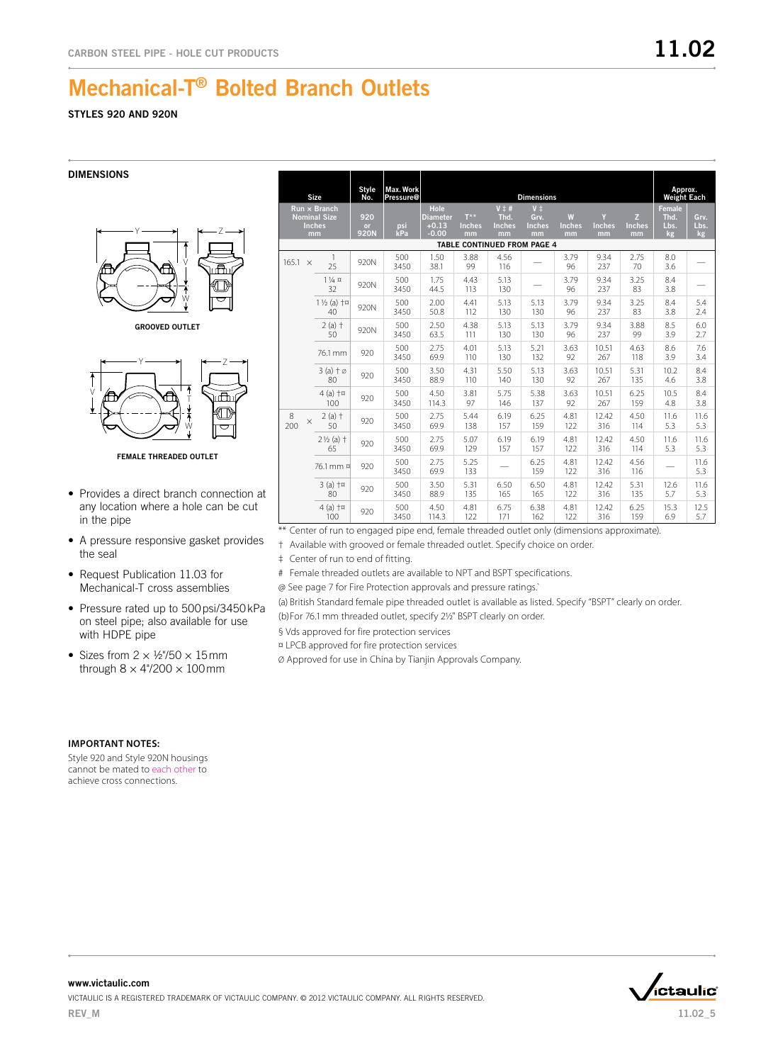## STYLES 920 AND 920N

**DIMENSIONS** 

![](_page_4_Figure_4.jpeg)

GROOVED OUTLET

![](_page_4_Figure_6.jpeg)

FEMALE THREADED OUTLET

- Provides a direct branch connection at any location where a hole can be cut in the pipe
- A pressure responsive gasket provides the seal
- Request Publication 11.03 for Mechanical-T cross assemblies
- Pressure rated up to 500 psi/3450 kPa on steel pipe; also available for use with HDPE pipe
- Sizes from  $2 \times \frac{1}{2}$ 750  $\times$  15 mm through  $8 \times 4\frac{\prime}{200} \times 100$  mm

|                                                                   | <b>Size</b>                        | Style<br>No.             | Max. Work<br>Pressure@ |                                               |                                         |                                        | <b>Dimensions</b>                        |                          |                          |                          | Approx.<br><b>Weight Each</b> |                    |
|-------------------------------------------------------------------|------------------------------------|--------------------------|------------------------|-----------------------------------------------|-----------------------------------------|----------------------------------------|------------------------------------------|--------------------------|--------------------------|--------------------------|-------------------------------|--------------------|
| $Run \times Branch$<br><b>Nominal Size</b><br><b>Inches</b><br>mm |                                    | 920<br>or<br><b>920N</b> | psi<br>kPa             | Hole<br><b>Diameter</b><br>$+0.13$<br>$-0.00$ | $T^{\star\star}$<br><b>Inches</b><br>mm | $V \ddagger #$<br>Thd.<br>Inches<br>mm | $V^{\pm}$<br>Grv.<br><b>Inches</b><br>mm | W<br><b>Inches</b><br>mm | Y<br><b>Inches</b><br>mm | z<br><b>Inches</b><br>mm | Female<br>Thd.<br>Lbs.<br>kg  | Grv.<br>Lbs.<br>kg |
|                                                                   |                                    |                          |                        |                                               | TABLE CONTINUED FROM PAGE 4             |                                        |                                          |                          |                          |                          |                               |                    |
| 165.1<br>$\times$                                                 | 1<br>25                            | 920N                     | 500<br>3450            | 1.50<br>38.1                                  | 3.88<br>99                              | 4.56<br>116                            |                                          | 3.79<br>96               | 9.34<br>237              | 2.75<br>70               | 8.0<br>3.6                    |                    |
|                                                                   | $1\frac{1}{4}$ $\alpha$<br>32      | 920N                     | 500<br>3450            | 1.75<br>44.5                                  | 4.43<br>113                             | 5.13<br>130                            |                                          | 3.79<br>96               | 9.34<br>237              | 3.25<br>83               | 8.4<br>3.8                    |                    |
|                                                                   | $1\frac{1}{2}$ (a) $+\pi$<br>40    | 920N                     | 500<br>3450            | 2.00<br>50.8                                  | 4.41<br>112                             | 5.13<br>130                            | 5.13<br>130                              | 3.79<br>96               | 9.34<br>237              | 3.25<br>83               | 8.4<br>3.8                    | 5.4<br>2.4         |
|                                                                   | $2(a)$ †<br>50                     | 920N                     | 500<br>3450            | 2.50<br>63.5                                  | 4.38<br>111                             | 5.13<br>130                            | 5.13<br>130                              | 3.79<br>96               | 9.34<br>237              | 3.88<br>99               | 8.5<br>3.9                    | 6.0<br>2.7         |
|                                                                   | 76.1 mm                            | 920                      | 500<br>3450            | 2.75<br>69.9                                  | 4.01<br>110                             | 5.13<br>130                            | 5.21<br>132                              | 3.63<br>92               | 10.51<br>267             | 4.63<br>118              | 8.6<br>3.9                    | 7.6<br>3.4         |
|                                                                   | $3(a) \dagger \emptyset$<br>80     | 920                      | 500<br>3450            | 3.50<br>88.9                                  | 4.31<br>110                             | 5.50<br>140                            | 5.13<br>130                              | 3.63<br>92               | 10.51<br>267             | 5.31<br>135              | 10.2<br>4.6                   | 8.4<br>3.8         |
|                                                                   | $4(a)$ $+a$<br>100                 | 920                      | 500<br>3450            | 4.50<br>114.3                                 | 3.81<br>97                              | 5.75<br>146                            | 5.38<br>137                              | 3.63<br>92               | 10.51<br>267             | 6.25<br>159              | 10.5<br>4.8                   | 8.4<br>3.8         |
| 8<br>$\times$<br>200                                              | $2(a)$ †<br>50                     | 920                      | 500<br>3450            | 2.75<br>69.9                                  | 5.44<br>138                             | 6.19<br>157                            | 6.25<br>159                              | 4.81<br>122              | 12.42<br>316             | 4.50<br>114              | 11.6<br>5.3                   | 11.6<br>5.3        |
|                                                                   | $2\frac{1}{2}$ (a) $\dagger$<br>65 | 920                      | 500<br>3450            | 2.75<br>69.9                                  | 5.07<br>129                             | 6.19<br>157                            | 6.19<br>157                              | 4.81<br>122              | 12.42<br>316             | 4.50<br>114              | 11.6<br>5.3                   | 11.6<br>5.3        |
|                                                                   | 76.1 mm ¤                          | 920                      | 500<br>3450            | 2.75<br>69.9                                  | 5.25<br>133                             |                                        | 6.25<br>159                              | 4.81<br>122              | 12.42<br>316             | 4.56<br>116              |                               | 11.6<br>5.3        |
|                                                                   | $3(a)$ $+a$<br>80                  | 920                      | 500<br>3450            | 3.50<br>88.9                                  | 5.31<br>135                             | 6.50<br>165                            | 6.50<br>165                              | 4.81<br>122              | 12.42<br>316             | 5.31<br>135              | 12.6<br>5.7                   | 11.6<br>5.3        |
|                                                                   | $4$ (a) $+\pi$<br>100              | 920                      | 500<br>3450            | 4.50<br>114.3                                 | 4.81<br>122                             | 6.75<br>171                            | 6.38<br>162                              | 4.81<br>122              | 12.42<br>316             | 6.25<br>159              | 15.3<br>6.9                   | 12.5<br>5.7        |

- \*\* Center of run to engaged pipe end, female threaded outlet only (dimensions approximate).
- † Available with grooved or female threaded outlet. Specify choice on order.

‡ Center of run to end of fitting.

# Female threaded outlets are available to NPT and BSPT specifications.

@ See page 7 for Fire Protection approvals and pressure ratings.`

(a) British Standard female pipe threaded outlet is available as listed. Specify "BSPT" clearly on order.

(b)For 76.1mm threaded outlet, specify 2½" BSPT clearly on order.

§ Vds approved for fire protection services

¤ LPCB approved for fire protection services

Ø Approved for use in China by Tianjin Approvals Company.

### **Important Notes:**

Style 920 and Style 920N housings cannot be mated to each other to achieve cross connections.

![](_page_4_Picture_26.jpeg)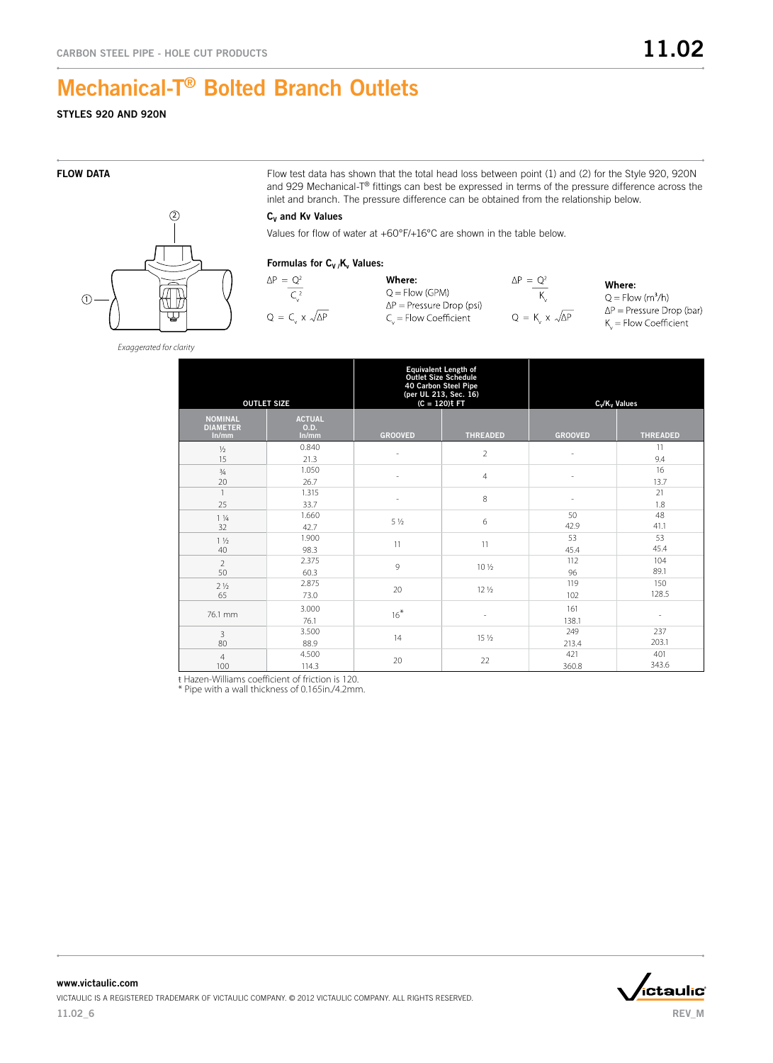# STYLES 920 AND 920N

 $\odot$  $(2)$ 

FLOW DATA FLOW DATA Flow test data has shown that the total head loss between point (1) and (2) for the Style 920, 920N and 929 Mechanical-T® fittings can best be expressed in terms of the pressure difference across the inlet and branch. The pressure difference can be obtained from the relationship below.

### $C_v$  and Kv Values

Values for flow of water at +60°F/+16°C are shown in the table below.

### Formulas for  $C_V/K_v$  Values:

![](_page_5_Figure_10.jpeg)

Where:  $Q =$  Flow (GPM)  $\Delta P$  = Pressure Drop (psi)  $C_{v}$  = Flow Coefficient  $\Delta P = Q^2$  $Q = K_v \times \sqrt{\Delta P}$ 

Where:  $Q = Flow (m<sup>3</sup>/h)$  $\Delta P$  = Pressure Drop (bar)  $K_{c}$  = Flow Coefficient

*Exaggerated for clarity*

| <b>OUTLET SIZE</b>                         |                                | Equivalent Length of<br>Outlet Size Schedule | 40 Carbon Steel Pipe<br>(per UL 213, Sec. 16)<br>$(C = 120)$ t FT | $C_v/K_v$ Values         |                          |  |  |
|--------------------------------------------|--------------------------------|----------------------------------------------|-------------------------------------------------------------------|--------------------------|--------------------------|--|--|
| <b>NOMINAL</b><br><b>DIAMETER</b><br>ln/mm | <b>ACTUAL</b><br>O.D.<br>ln/mm | <b>GROOVED</b>                               | <b>THREADED</b>                                                   | <b>GROOVED</b>           | <b>THREADED</b>          |  |  |
| $\frac{1}{2}$<br>15                        | 0.840<br>21.3                  | ä,                                           | $\overline{2}$                                                    | $\overline{\phantom{a}}$ | 11<br>9.4                |  |  |
| $\frac{3}{4}$<br>20                        | 1.050<br>26.7                  |                                              | $\overline{4}$                                                    |                          | 16<br>13.7               |  |  |
| $\mathbf{1}$<br>25                         | 1.315<br>33.7                  | ٠                                            | 8                                                                 |                          | 21<br>1.8                |  |  |
| $1\frac{1}{4}$<br>32                       | 1.660<br>42.7                  | $5\frac{1}{2}$                               | 6                                                                 | 50<br>42.9               | 48<br>41.1               |  |  |
| $1\frac{1}{2}$<br>40                       | 1.900<br>98.3                  | 11                                           | 11                                                                | 53<br>45.4               | 53<br>45.4               |  |  |
| $\overline{2}$<br>50                       | 2.375<br>60.3                  | 9                                            | 10 <sub>2</sub>                                                   | 112<br>96                | 104<br>89.1              |  |  |
| 2 <sub>1/2</sub><br>65                     | 2.875<br>73.0                  | 20                                           | 12 1/2                                                            | 119<br>102               | 150<br>128.5             |  |  |
| 76.1 mm                                    | 3.000<br>76.1                  | $16*$                                        | $\sim$                                                            | 161<br>138.1             | $\overline{\phantom{a}}$ |  |  |
| 3<br>80                                    | 3.500<br>88.9                  | 14                                           | 15 1/2                                                            | 249<br>213.4             | 237<br>203.1             |  |  |
| $\overline{4}$<br>100                      | 4.500<br>114.3                 | 20                                           | 22                                                                | 421<br>360.8             | 401<br>343.6             |  |  |

ŧ Hazen-Williams coefficient of friction is 120. \* Pipe with a wall thickness of 0.165in./4.2mm.

![](_page_5_Picture_18.jpeg)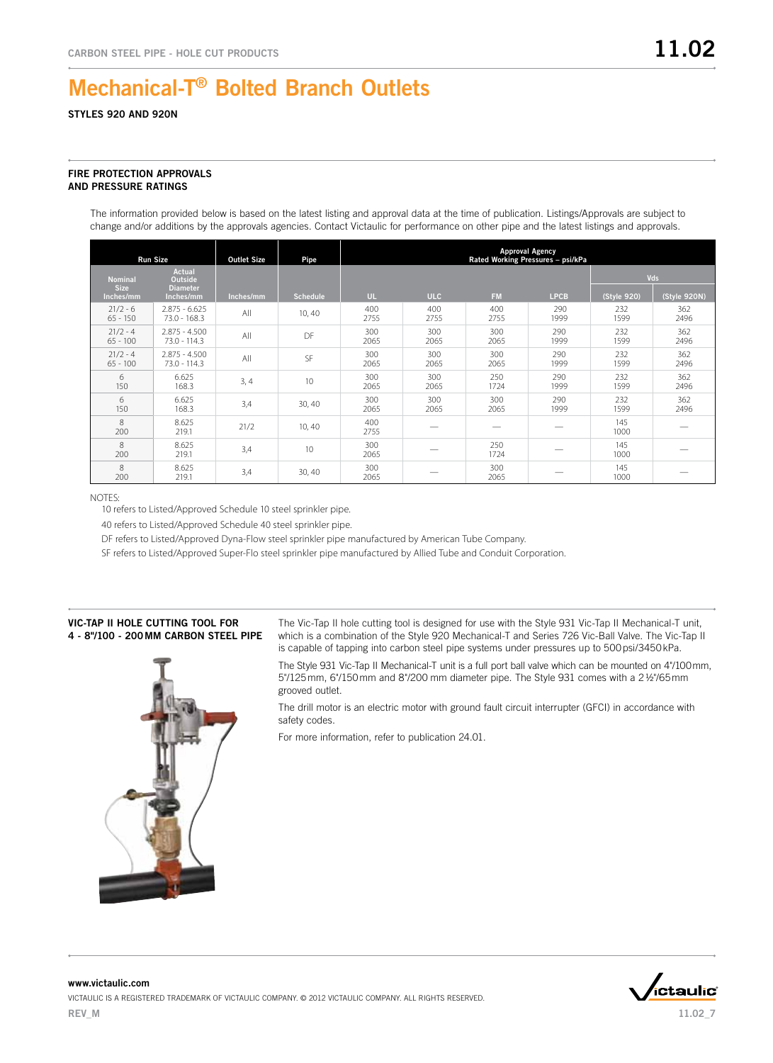### STYLES 920 AND 920N

### FIRE PROTECTION APPROVALS AND PRESSURE RATINGS

The information provided below is based on the latest listing and approval data at the time of publication. Listings/Approvals are subject to change and/or additions by the approvals agencies. Contact Victaulic for performance on other pipe and the latest listings and approvals.

| <b>Run Size</b>               |                                                    | <b>Outlet Size</b> | Pipe            | <b>Approval Agency</b><br>Rated Working Pressures - psi/kPa |             |             |             |             |              |  |  |
|-------------------------------|----------------------------------------------------|--------------------|-----------------|-------------------------------------------------------------|-------------|-------------|-------------|-------------|--------------|--|--|
| <b>Nominal</b><br><b>Size</b> | <b>Actual</b><br><b>Outside</b><br><b>Diameter</b> |                    |                 |                                                             |             |             |             |             | Vds          |  |  |
| Inches/mm                     | Inches/mm                                          | Inches/mm          | <b>Schedule</b> | UL.                                                         | <b>ULC</b>  | <b>FM</b>   | <b>LPCB</b> | (Style 920) | (Style 920N) |  |  |
| $21/2 - 6$<br>$65 - 150$      | $2.875 - 6.625$<br>$73.0 - 168.3$                  | All                | 10, 40          | 400<br>2755                                                 | 400<br>2755 | 400<br>2755 | 290<br>1999 | 232<br>1599 | 362<br>2496  |  |  |
| $21/2 - 4$<br>$65 - 100$      | $2.875 - 4.500$<br>$73.0 - 114.3$                  | All                | DF              | 300<br>2065                                                 | 300<br>2065 | 300<br>2065 | 290<br>1999 | 232<br>1599 | 362<br>2496  |  |  |
| $21/2 - 4$<br>$65 - 100$      | $2.875 - 4.500$<br>$73.0 - 114.3$                  | All                | SF              | 300<br>2065                                                 | 300<br>2065 | 300<br>2065 | 290<br>1999 | 232<br>1599 | 362<br>2496  |  |  |
| 6<br>150                      | 6.625<br>168.3                                     | 3, 4               | 10              | 300<br>2065                                                 | 300<br>2065 | 250<br>1724 | 290<br>1999 | 232<br>1599 | 362<br>2496  |  |  |
| 6<br>150                      | 6.625<br>168.3                                     | 3,4                | 30,40           | 300<br>2065                                                 | 300<br>2065 | 300<br>2065 | 290<br>1999 | 232<br>1599 | 362<br>2496  |  |  |
| 8<br>200                      | 8.625<br>219.1                                     | 21/2               | 10, 40          | 400<br>2755                                                 |             |             |             | 145<br>1000 |              |  |  |
| $\mathcal{R}$<br>200          | 8.625<br>219.1                                     | 3,4                | 10              | 300<br>2065                                                 |             | 250<br>1724 |             | 145<br>1000 |              |  |  |
| 8<br>200                      | 8.625<br>219.1                                     | 3,4                | 30, 40          | 300<br>2065                                                 |             | 300<br>2065 |             | 145<br>1000 |              |  |  |

#### NOTES:

10 refers to Listed/Approved Schedule 10 steel sprinkler pipe.

40 refers to Listed/Approved Schedule 40 steel sprinkler pipe.

DF refers to Listed/Approved Dyna-Flow steel sprinkler pipe manufactured by American Tube Company.

SF refers to Listed/Approved Super-Flo steel sprinkler pipe manufactured by Allied Tube and Conduit Corporation.

### Vic-Tap II Hole Cutting Tool for 4 - 8"/100 - 200 mm carbon Steel Pipe

![](_page_6_Picture_12.jpeg)

The Vic-Tap II hole cutting tool is designed for use with the Style 931 Vic-Tap II Mechanical-T unit, which is a combination of the Style 920 Mechanical-T and Series 726 Vic-Ball Valve. The Vic-Tap II is capable of tapping into carbon steel pipe systems under pressures up to 500 psi/3450 kPa.

The Style 931 Vic-Tap II Mechanical-T unit is a full port ball valve which can be mounted on 4"/100mm, 5"/125mm, 6"/150mm and 8"/200 mm diameter pipe. The Style 931 comes with a 21/2"/65mm grooved outlet.

The drill motor is an electric motor with ground fault circuit interrupter (GFCI) in accordance with safety codes.

For more information, refer to publication 24.01.

![](_page_6_Picture_17.jpeg)